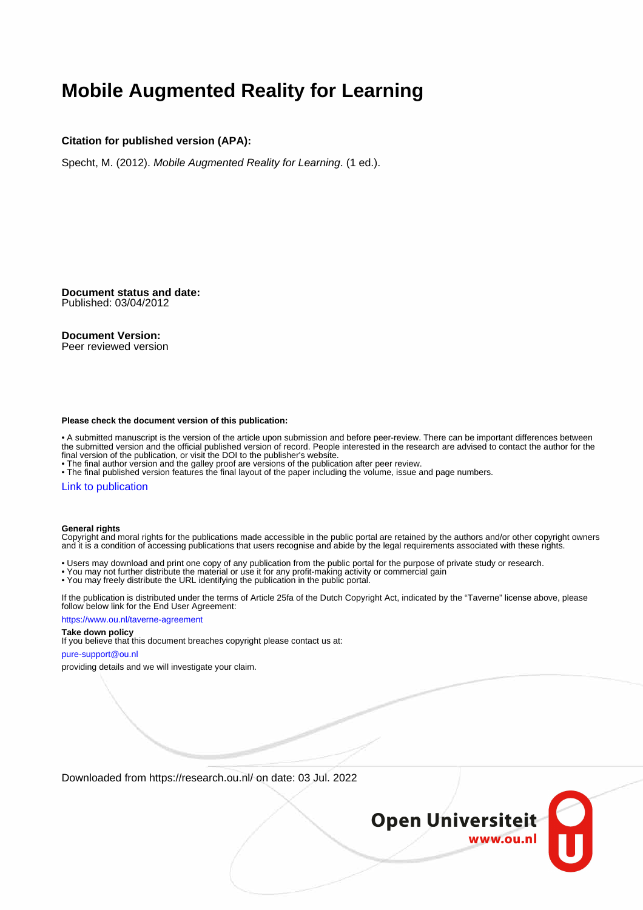# **Mobile Augmented Reality for Learning**

#### **Citation for published version (APA):**

Specht, M. (2012). Mobile Augmented Reality for Learning. (1 ed.).

**Document status and date:** Published: 03/04/2012

#### **Document Version:**

Peer reviewed version

#### **Please check the document version of this publication:**

• A submitted manuscript is the version of the article upon submission and before peer-review. There can be important differences between the submitted version and the official published version of record. People interested in the research are advised to contact the author for the final version of the publication, or visit the DOI to the publisher's website.

• The final author version and the galley proof are versions of the publication after peer review.

• The final published version features the final layout of the paper including the volume, issue and page numbers.

#### [Link to publication](https://research.ou.nl/en/publications/7bccdd24-e38d-4002-a50c-1642493943b3)

#### **General rights**

Copyright and moral rights for the publications made accessible in the public portal are retained by the authors and/or other copyright owners and it is a condition of accessing publications that users recognise and abide by the legal requirements associated with these rights.

- Users may download and print one copy of any publication from the public portal for the purpose of private study or research.
- You may not further distribute the material or use it for any profit-making activity or commercial gain
- You may freely distribute the URL identifying the publication in the public portal.

If the publication is distributed under the terms of Article 25fa of the Dutch Copyright Act, indicated by the "Taverne" license above, please follow below link for the End User Agreement:

#### https://www.ou.nl/taverne-agreement

#### **Take down policy**

If you believe that this document breaches copyright please contact us at:

#### pure-support@ou.nl

providing details and we will investigate your claim.

Downloaded from https://research.ou.nl/ on date: 03 Jul. 2022

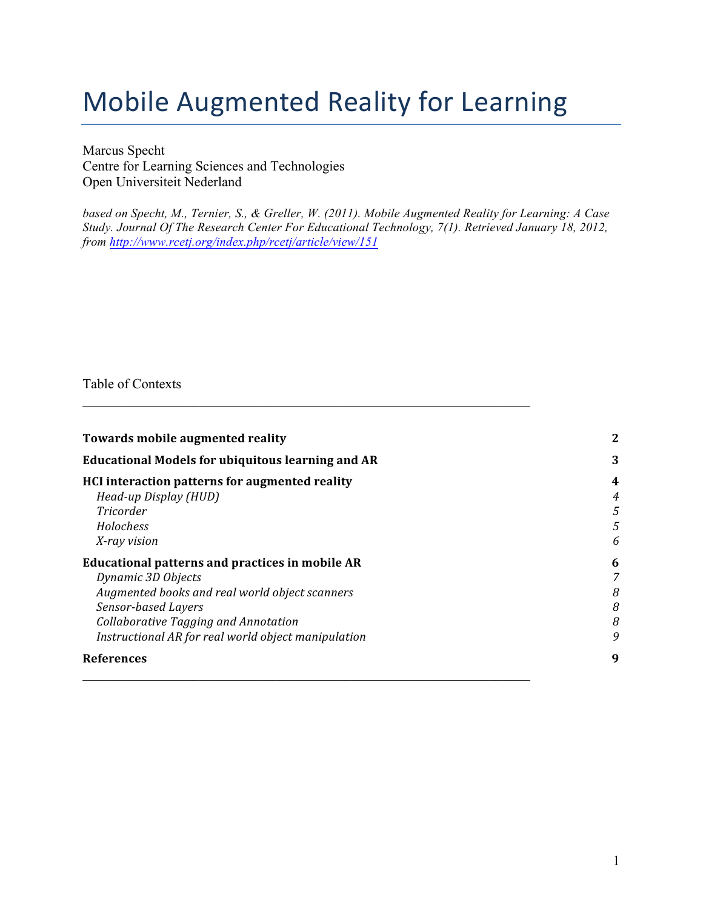# Mobile Augmented Reality for Learning

Marcus Specht Centre for Learning Sciences and Technologies Open Universiteit Nederland

*based on Specht, M., Ternier, S., & Greller, W. (2011). Mobile Augmented Reality for Learning: A Case Study. Journal Of The Research Center For Educational Technology, 7(1). Retrieved January 18, 2012, from http://www.rcetj.org/index.php/rcetj/article/view/151*

Table of Contexts

| Towards mobile augmented reality                         | $\overline{2}$   |
|----------------------------------------------------------|------------------|
| <b>Educational Models for ubiquitous learning and AR</b> | 3                |
| HCI interaction patterns for augmented reality           | $\boldsymbol{4}$ |
| Head-up Display (HUD)                                    | 4                |
| Tricorder                                                | 5                |
| Holochess                                                | 5                |
| X-ray vision                                             | 6                |
| Educational patterns and practices in mobile AR          | 6                |
| Dynamic 3D Objects                                       | 7                |
| Augmented books and real world object scanners           | 8                |
| Sensor-based Layers                                      | 8                |
| Collaborative Tagging and Annotation                     | 8                |
| Instructional AR for real world object manipulation      | 9                |
| <b>References</b>                                        | 9                |
|                                                          |                  |

 $\mathcal{L}_\text{max}$  , and the contribution of the contribution of the contribution of the contribution of the contribution of the contribution of the contribution of the contribution of the contribution of the contribution of t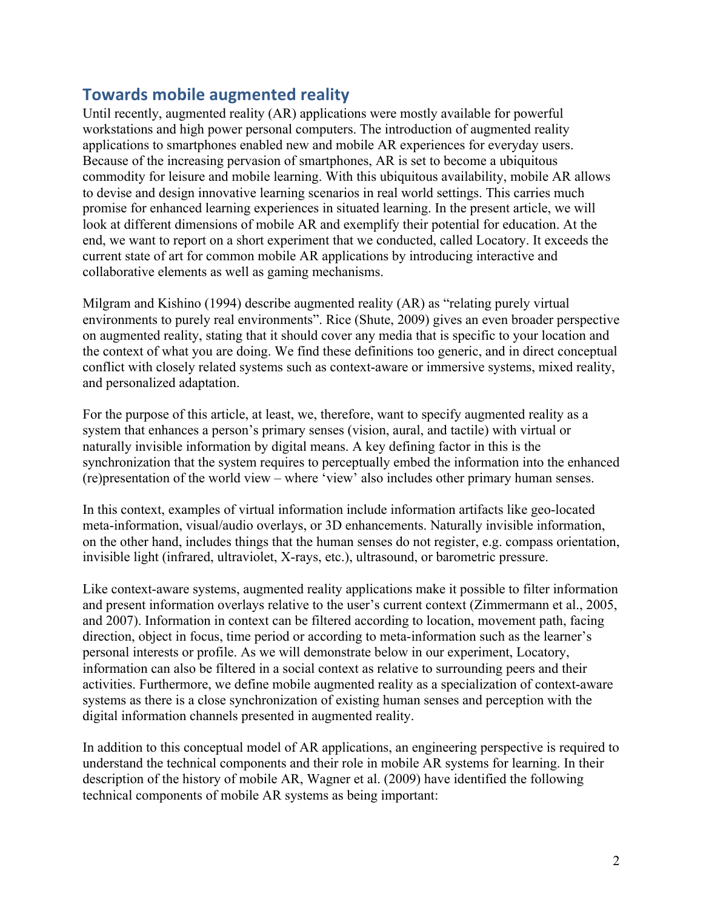# **Towards mobile augmented reality**

Until recently, augmented reality (AR) applications were mostly available for powerful workstations and high power personal computers. The introduction of augmented reality applications to smartphones enabled new and mobile AR experiences for everyday users. Because of the increasing pervasion of smartphones, AR is set to become a ubiquitous commodity for leisure and mobile learning. With this ubiquitous availability, mobile AR allows to devise and design innovative learning scenarios in real world settings. This carries much promise for enhanced learning experiences in situated learning. In the present article, we will look at different dimensions of mobile AR and exemplify their potential for education. At the end, we want to report on a short experiment that we conducted, called Locatory. It exceeds the current state of art for common mobile AR applications by introducing interactive and collaborative elements as well as gaming mechanisms.

Milgram and Kishino (1994) describe augmented reality (AR) as "relating purely virtual environments to purely real environments". Rice (Shute, 2009) gives an even broader perspective on augmented reality, stating that it should cover any media that is specific to your location and the context of what you are doing. We find these definitions too generic, and in direct conceptual conflict with closely related systems such as context-aware or immersive systems, mixed reality, and personalized adaptation.

For the purpose of this article, at least, we, therefore, want to specify augmented reality as a system that enhances a person's primary senses (vision, aural, and tactile) with virtual or naturally invisible information by digital means. A key defining factor in this is the synchronization that the system requires to perceptually embed the information into the enhanced (re)presentation of the world view – where 'view' also includes other primary human senses.

In this context, examples of virtual information include information artifacts like geo-located meta-information, visual/audio overlays, or 3D enhancements. Naturally invisible information, on the other hand, includes things that the human senses do not register, e.g. compass orientation, invisible light (infrared, ultraviolet, X-rays, etc.), ultrasound, or barometric pressure.

Like context-aware systems, augmented reality applications make it possible to filter information and present information overlays relative to the user's current context (Zimmermann et al., 2005, and 2007). Information in context can be filtered according to location, movement path, facing direction, object in focus, time period or according to meta-information such as the learner's personal interests or profile. As we will demonstrate below in our experiment, Locatory, information can also be filtered in a social context as relative to surrounding peers and their activities. Furthermore, we define mobile augmented reality as a specialization of context-aware systems as there is a close synchronization of existing human senses and perception with the digital information channels presented in augmented reality.

In addition to this conceptual model of AR applications, an engineering perspective is required to understand the technical components and their role in mobile AR systems for learning. In their description of the history of mobile AR, Wagner et al. (2009) have identified the following technical components of mobile AR systems as being important: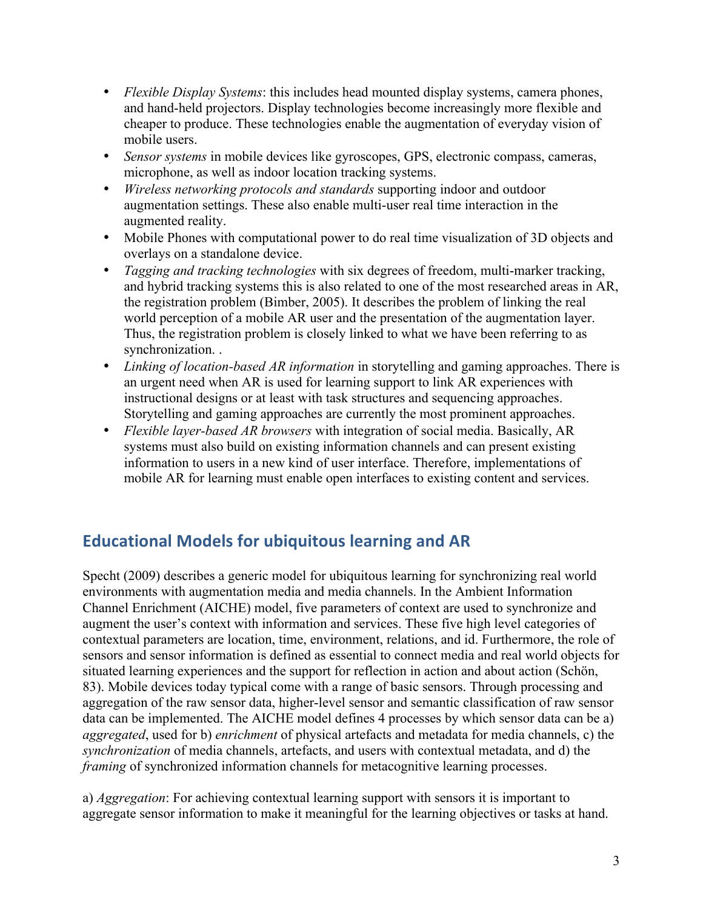- *Flexible Display Systems*: this includes head mounted display systems, camera phones, and hand-held projectors. Display technologies become increasingly more flexible and cheaper to produce. These technologies enable the augmentation of everyday vision of mobile users.
- *Sensor systems* in mobile devices like gyroscopes, GPS, electronic compass, cameras, microphone, as well as indoor location tracking systems.
- *Wireless networking protocols and standards* supporting indoor and outdoor augmentation settings. These also enable multi-user real time interaction in the augmented reality.
- Mobile Phones with computational power to do real time visualization of 3D objects and overlays on a standalone device.
- *Tagging and tracking technologies* with six degrees of freedom, multi-marker tracking, and hybrid tracking systems this is also related to one of the most researched areas in AR, the registration problem (Bimber, 2005). It describes the problem of linking the real world perception of a mobile AR user and the presentation of the augmentation layer. Thus, the registration problem is closely linked to what we have been referring to as synchronization. .
- *Linking of location-based AR information* in storytelling and gaming approaches. There is an urgent need when AR is used for learning support to link AR experiences with instructional designs or at least with task structures and sequencing approaches. Storytelling and gaming approaches are currently the most prominent approaches.
- *Flexible layer-based AR browsers* with integration of social media. Basically, AR systems must also build on existing information channels and can present existing information to users in a new kind of user interface. Therefore, implementations of mobile AR for learning must enable open interfaces to existing content and services.

# **Educational Models for ubiquitous learning and AR**

Specht (2009) describes a generic model for ubiquitous learning for synchronizing real world environments with augmentation media and media channels. In the Ambient Information Channel Enrichment (AICHE) model, five parameters of context are used to synchronize and augment the user's context with information and services. These five high level categories of contextual parameters are location, time, environment, relations, and id. Furthermore, the role of sensors and sensor information is defined as essential to connect media and real world objects for situated learning experiences and the support for reflection in action and about action (Schön, 83). Mobile devices today typical come with a range of basic sensors. Through processing and aggregation of the raw sensor data, higher-level sensor and semantic classification of raw sensor data can be implemented. The AICHE model defines 4 processes by which sensor data can be a) *aggregated*, used for b) *enrichment* of physical artefacts and metadata for media channels, c) the *synchronization* of media channels, artefacts, and users with contextual metadata, and d) the *framing* of synchronized information channels for metacognitive learning processes.

a) *Aggregation*: For achieving contextual learning support with sensors it is important to aggregate sensor information to make it meaningful for the learning objectives or tasks at hand.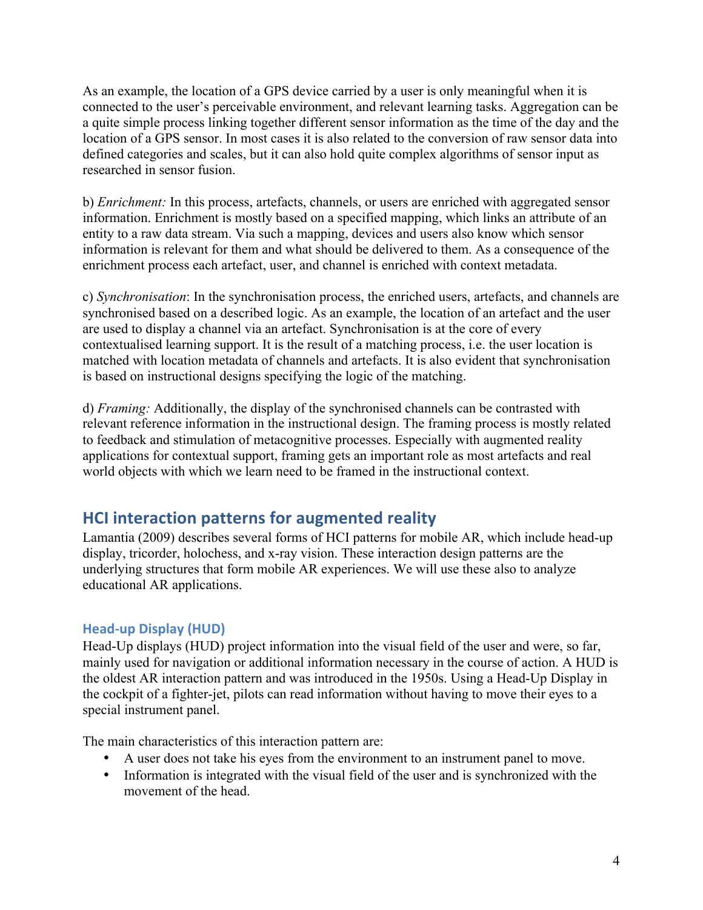As an example, the location of a GPS device carried by a user is only meaningful when it is connected to the user's perceivable environment, and relevant learning tasks. Aggregation can be a quite simple process linking together different sensor information as the time of the day and the location of a GPS sensor. In most cases it is also related to the conversion of raw sensor data into defined categories and scales, but it can also hold quite complex algorithms of sensor input as researched in sensor fusion.

b) *Enrichment:* In this process, artefacts, channels, or users are enriched with aggregated sensor information. Enrichment is mostly based on a specified mapping, which links an attribute of an entity to a raw data stream. Via such a mapping, devices and users also know which sensor information is relevant for them and what should be delivered to them. As a consequence of the enrichment process each artefact, user, and channel is enriched with context metadata.

c) *Synchronisation*: In the synchronisation process, the enriched users, artefacts, and channels are synchronised based on a described logic. As an example, the location of an artefact and the user are used to display a channel via an artefact. Synchronisation is at the core of every contextualised learning support. It is the result of a matching process, i.e. the user location is matched with location metadata of channels and artefacts. It is also evident that synchronisation is based on instructional designs specifying the logic of the matching.

d) *Framing:* Additionally, the display of the synchronised channels can be contrasted with relevant reference information in the instructional design. The framing process is mostly related to feedback and stimulation of metacognitive processes. Especially with augmented reality applications for contextual support, framing gets an important role as most artefacts and real world objects with which we learn need to be framed in the instructional context.

# **HCI interaction patterns for augmented reality**

Lamantia (2009) describes several forms of HCI patterns for mobile AR, which include head-up display, tricorder, holochess, and x-ray vision. These interaction design patterns are the underlying structures that form mobile AR experiences. We will use these also to analyze educational AR applications.

## **Head-up Display (HUD)**

Head-Up displays (HUD) project information into the visual field of the user and were, so far, mainly used for navigation or additional information necessary in the course of action. A HUD is the oldest AR interaction pattern and was introduced in the 1950s. Using a Head-Up Display in the cockpit of a fighter-jet, pilots can read information without having to move their eyes to a special instrument panel.

The main characteristics of this interaction pattern are:

- A user does not take his eyes from the environment to an instrument panel to move.
- Information is integrated with the visual field of the user and is synchronized with the movement of the head.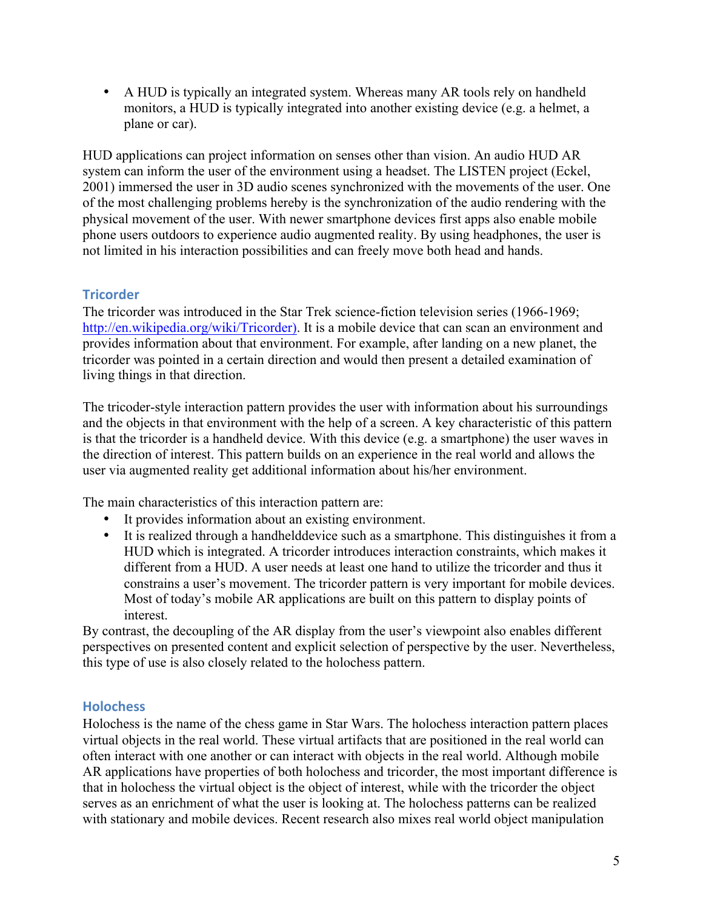• A HUD is typically an integrated system. Whereas many AR tools rely on handheld monitors, a HUD is typically integrated into another existing device (e.g. a helmet, a plane or car).

HUD applications can project information on senses other than vision. An audio HUD AR system can inform the user of the environment using a headset. The LISTEN project (Eckel, 2001) immersed the user in 3D audio scenes synchronized with the movements of the user. One of the most challenging problems hereby is the synchronization of the audio rendering with the physical movement of the user. With newer smartphone devices first apps also enable mobile phone users outdoors to experience audio augmented reality. By using headphones, the user is not limited in his interaction possibilities and can freely move both head and hands.

## **Tricorder**

The tricorder was introduced in the Star Trek science-fiction television series (1966-1969; http://en.wikipedia.org/wiki/Tricorder). It is a mobile device that can scan an environment and provides information about that environment. For example, after landing on a new planet, the tricorder was pointed in a certain direction and would then present a detailed examination of living things in that direction.

The tricoder-style interaction pattern provides the user with information about his surroundings and the objects in that environment with the help of a screen. A key characteristic of this pattern is that the tricorder is a handheld device. With this device (e.g. a smartphone) the user waves in the direction of interest. This pattern builds on an experience in the real world and allows the user via augmented reality get additional information about his/her environment.

The main characteristics of this interaction pattern are:

- It provides information about an existing environment.
- It is realized through a handhelddevice such as a smartphone. This distinguishes it from a HUD which is integrated. A tricorder introduces interaction constraints, which makes it different from a HUD. A user needs at least one hand to utilize the tricorder and thus it constrains a user's movement. The tricorder pattern is very important for mobile devices. Most of today's mobile AR applications are built on this pattern to display points of interest.

By contrast, the decoupling of the AR display from the user's viewpoint also enables different perspectives on presented content and explicit selection of perspective by the user. Nevertheless, this type of use is also closely related to the holochess pattern.

## **Holochess**

Holochess is the name of the chess game in Star Wars. The holochess interaction pattern places virtual objects in the real world. These virtual artifacts that are positioned in the real world can often interact with one another or can interact with objects in the real world. Although mobile AR applications have properties of both holochess and tricorder, the most important difference is that in holochess the virtual object is the object of interest, while with the tricorder the object serves as an enrichment of what the user is looking at. The holochess patterns can be realized with stationary and mobile devices. Recent research also mixes real world object manipulation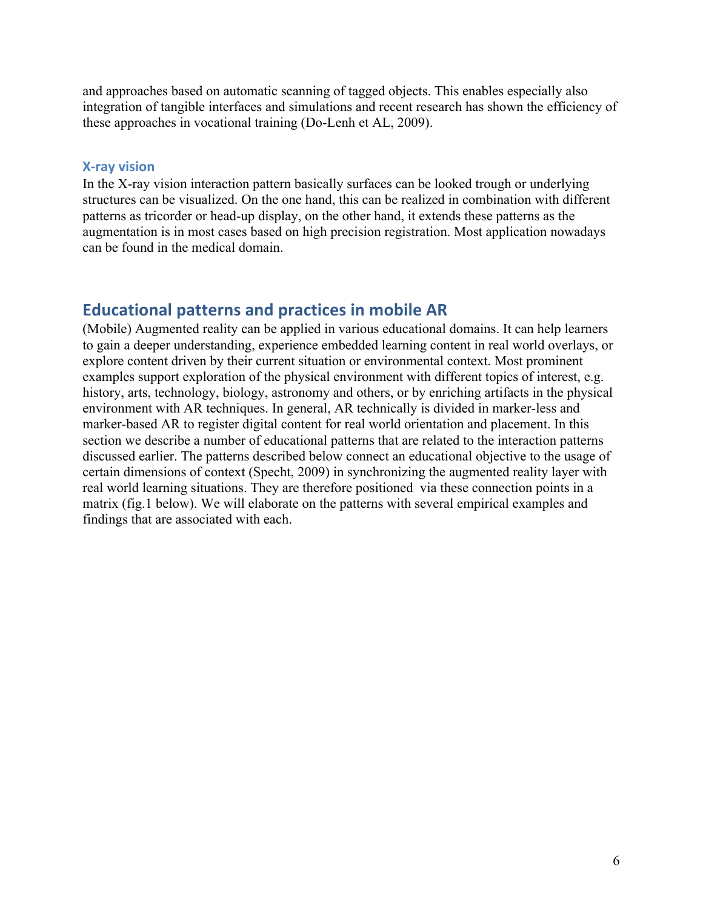and approaches based on automatic scanning of tagged objects. This enables especially also integration of tangible interfaces and simulations and recent research has shown the efficiency of these approaches in vocational training (Do-Lenh et AL, 2009).

### **X-ray vision**

In the X-ray vision interaction pattern basically surfaces can be looked trough or underlying structures can be visualized. On the one hand, this can be realized in combination with different patterns as tricorder or head-up display, on the other hand, it extends these patterns as the augmentation is in most cases based on high precision registration. Most application nowadays can be found in the medical domain.

# **Educational patterns and practices in mobile AR**

(Mobile) Augmented reality can be applied in various educational domains. It can help learners to gain a deeper understanding, experience embedded learning content in real world overlays, or explore content driven by their current situation or environmental context. Most prominent examples support exploration of the physical environment with different topics of interest, e.g. history, arts, technology, biology, astronomy and others, or by enriching artifacts in the physical environment with AR techniques. In general, AR technically is divided in marker-less and marker-based AR to register digital content for real world orientation and placement. In this section we describe a number of educational patterns that are related to the interaction patterns discussed earlier. The patterns described below connect an educational objective to the usage of certain dimensions of context (Specht, 2009) in synchronizing the augmented reality layer with real world learning situations. They are therefore positioned via these connection points in a matrix (fig.1 below). We will elaborate on the patterns with several empirical examples and findings that are associated with each.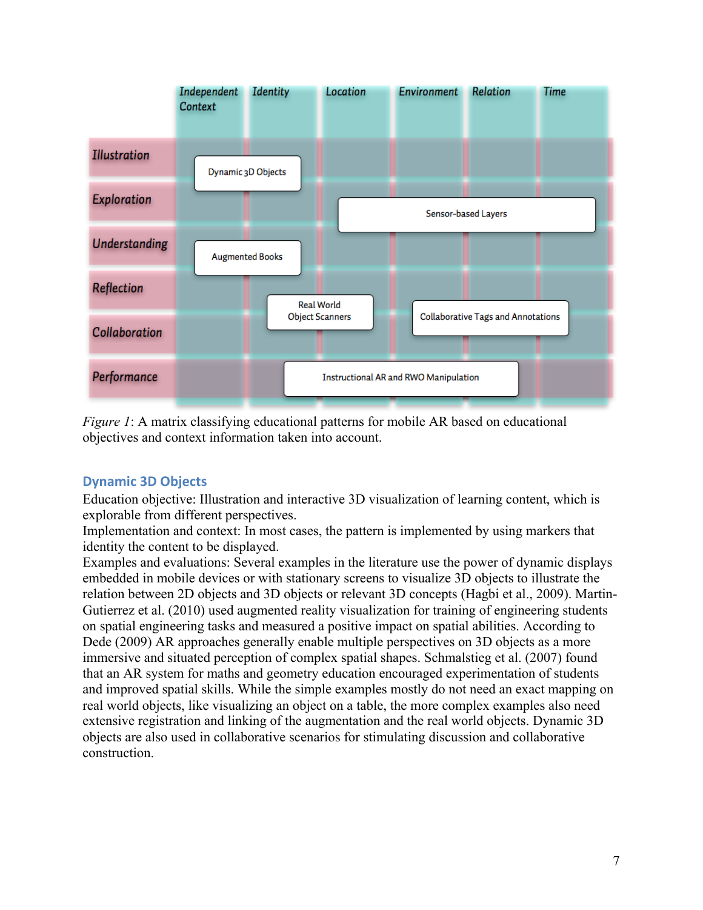

*Figure 1*: A matrix classifying educational patterns for mobile AR based on educational objectives and context information taken into account.

## **Dynamic 3D Objects**

Education objective: Illustration and interactive 3D visualization of learning content, which is explorable from different perspectives.

Implementation and context: In most cases, the pattern is implemented by using markers that identity the content to be displayed.

Examples and evaluations: Several examples in the literature use the power of dynamic displays embedded in mobile devices or with stationary screens to visualize 3D objects to illustrate the relation between 2D objects and 3D objects or relevant 3D concepts (Hagbi et al., 2009). Martin-Gutierrez et al. (2010) used augmented reality visualization for training of engineering students on spatial engineering tasks and measured a positive impact on spatial abilities. According to Dede (2009) AR approaches generally enable multiple perspectives on 3D objects as a more immersive and situated perception of complex spatial shapes. Schmalstieg et al. (2007) found that an AR system for maths and geometry education encouraged experimentation of students and improved spatial skills. While the simple examples mostly do not need an exact mapping on real world objects, like visualizing an object on a table, the more complex examples also need extensive registration and linking of the augmentation and the real world objects. Dynamic 3D objects are also used in collaborative scenarios for stimulating discussion and collaborative construction.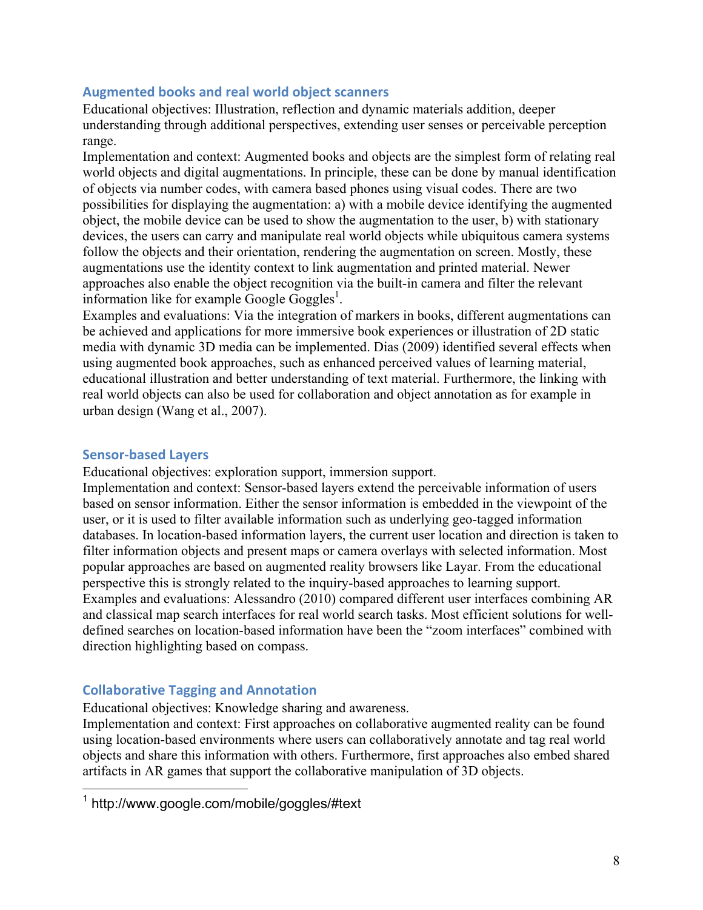### **Augmented books and real world object scanners**

Educational objectives: Illustration, reflection and dynamic materials addition, deeper understanding through additional perspectives, extending user senses or perceivable perception range.

Implementation and context: Augmented books and objects are the simplest form of relating real world objects and digital augmentations. In principle, these can be done by manual identification of objects via number codes, with camera based phones using visual codes. There are two possibilities for displaying the augmentation: a) with a mobile device identifying the augmented object, the mobile device can be used to show the augmentation to the user, b) with stationary devices, the users can carry and manipulate real world objects while ubiquitous camera systems follow the objects and their orientation, rendering the augmentation on screen. Mostly, these augmentations use the identity context to link augmentation and printed material. Newer approaches also enable the object recognition via the built-in camera and filter the relevant information like for example Google  $Goggles<sup>1</sup>$ .

Examples and evaluations: Via the integration of markers in books, different augmentations can be achieved and applications for more immersive book experiences or illustration of 2D static media with dynamic 3D media can be implemented. Dias (2009) identified several effects when using augmented book approaches, such as enhanced perceived values of learning material, educational illustration and better understanding of text material. Furthermore, the linking with real world objects can also be used for collaboration and object annotation as for example in urban design (Wang et al., 2007).

## **Sensor-based Layers**

Educational objectives: exploration support, immersion support.

Implementation and context: Sensor-based layers extend the perceivable information of users based on sensor information. Either the sensor information is embedded in the viewpoint of the user, or it is used to filter available information such as underlying geo-tagged information databases. In location-based information layers, the current user location and direction is taken to filter information objects and present maps or camera overlays with selected information. Most popular approaches are based on augmented reality browsers like Layar. From the educational perspective this is strongly related to the inquiry-based approaches to learning support. Examples and evaluations: Alessandro (2010) compared different user interfaces combining AR and classical map search interfaces for real world search tasks. Most efficient solutions for welldefined searches on location-based information have been the "zoom interfaces" combined with direction highlighting based on compass.

## **Collaborative Tagging and Annotation**

Educational objectives: Knowledge sharing and awareness.

Implementation and context: First approaches on collaborative augmented reality can be found using location-based environments where users can collaboratively annotate and tag real world objects and share this information with others. Furthermore, first approaches also embed shared artifacts in AR games that support the collaborative manipulation of 3D objects.

<sup>&</sup>lt;sup>1</sup> http://www.google.com/mobile/goggles/#text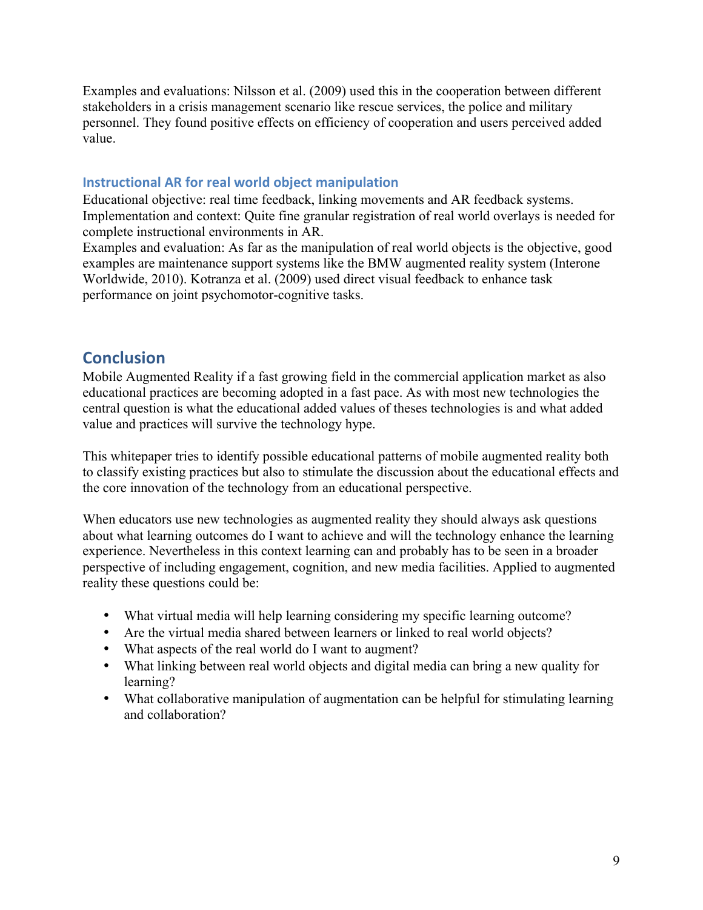Examples and evaluations: Nilsson et al. (2009) used this in the cooperation between different stakeholders in a crisis management scenario like rescue services, the police and military personnel. They found positive effects on efficiency of cooperation and users perceived added value.

## **Instructional AR for real world object manipulation**

Educational objective: real time feedback, linking movements and AR feedback systems. Implementation and context: Quite fine granular registration of real world overlays is needed for complete instructional environments in AR.

Examples and evaluation: As far as the manipulation of real world objects is the objective, good examples are maintenance support systems like the BMW augmented reality system (Interone Worldwide, 2010). Kotranza et al. (2009) used direct visual feedback to enhance task performance on joint psychomotor-cognitive tasks.

# **Conclusion**

Mobile Augmented Reality if a fast growing field in the commercial application market as also educational practices are becoming adopted in a fast pace. As with most new technologies the central question is what the educational added values of theses technologies is and what added value and practices will survive the technology hype.

This whitepaper tries to identify possible educational patterns of mobile augmented reality both to classify existing practices but also to stimulate the discussion about the educational effects and the core innovation of the technology from an educational perspective.

When educators use new technologies as augmented reality they should always ask questions about what learning outcomes do I want to achieve and will the technology enhance the learning experience. Nevertheless in this context learning can and probably has to be seen in a broader perspective of including engagement, cognition, and new media facilities. Applied to augmented reality these questions could be:

- What virtual media will help learning considering my specific learning outcome?
- Are the virtual media shared between learners or linked to real world objects?
- What aspects of the real world do I want to augment?
- What linking between real world objects and digital media can bring a new quality for learning?
- What collaborative manipulation of augmentation can be helpful for stimulating learning and collaboration?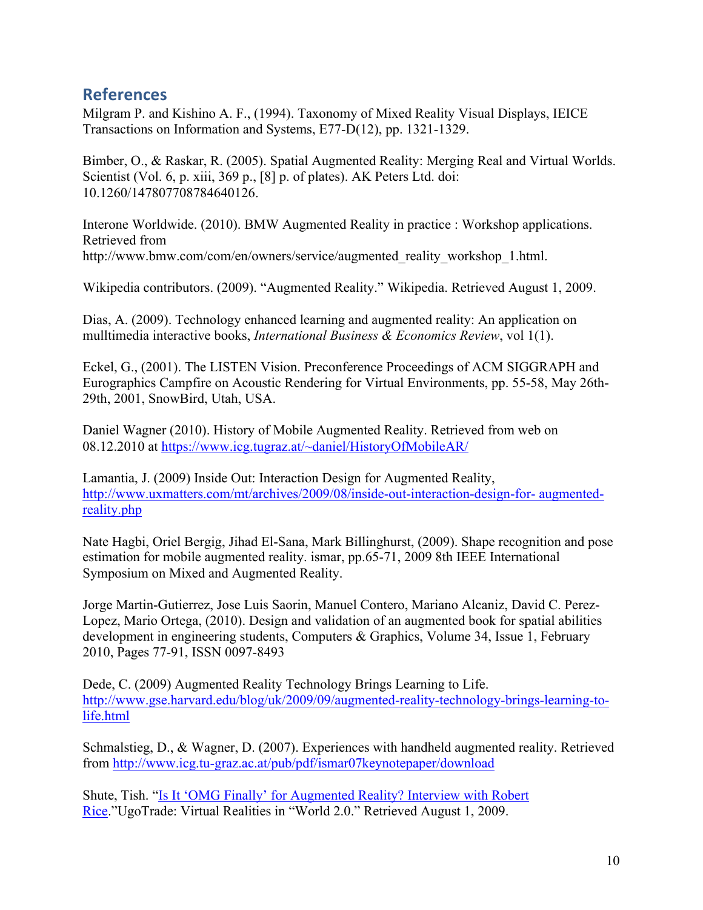# **References**

Milgram P. and Kishino A. F., (1994). Taxonomy of Mixed Reality Visual Displays, IEICE Transactions on Information and Systems, E77-D(12), pp. 1321-1329.

Bimber, O., & Raskar, R. (2005). Spatial Augmented Reality: Merging Real and Virtual Worlds. Scientist (Vol. 6, p. xiii, 369 p., [8] p. of plates). AK Peters Ltd. doi: 10.1260/147807708784640126.

Interone Worldwide. (2010). BMW Augmented Reality in practice : Workshop applications. Retrieved from http://www.bmw.com/com/en/owners/service/augmented\_reality\_workshop\_1.html.

Wikipedia contributors. (2009). "Augmented Reality." Wikipedia. Retrieved August 1, 2009.

Dias, A. (2009). Technology enhanced learning and augmented reality: An application on mulltimedia interactive books, *International Business & Economics Review*, vol 1(1).

Eckel, G., (2001). The LISTEN Vision. Preconference Proceedings of ACM SIGGRAPH and Eurographics Campfire on Acoustic Rendering for Virtual Environments, pp. 55-58, May 26th-29th, 2001, SnowBird, Utah, USA.

Daniel Wagner (2010). History of Mobile Augmented Reality. Retrieved from web on 08.12.2010 at https://www.icg.tugraz.at/~daniel/HistoryOfMobileAR/

Lamantia, J. (2009) Inside Out: Interaction Design for Augmented Reality, http://www.uxmatters.com/mt/archives/2009/08/inside-out-interaction-design-for- augmentedreality.php

Nate Hagbi, Oriel Bergig, Jihad El-Sana, Mark Billinghurst, (2009). Shape recognition and pose estimation for mobile augmented reality. ismar, pp.65-71, 2009 8th IEEE International Symposium on Mixed and Augmented Reality.

Jorge Martin-Gutierrez, Jose Luis Saorin, Manuel Contero, Mariano Alcaniz, David C. Perez-Lopez, Mario Ortega, (2010). Design and validation of an augmented book for spatial abilities development in engineering students, Computers & Graphics, Volume 34, Issue 1, February 2010, Pages 77-91, ISSN 0097-8493

Dede, C. (2009) Augmented Reality Technology Brings Learning to Life. http://www.gse.harvard.edu/blog/uk/2009/09/augmented-reality-technology-brings-learning-tolife.html

Schmalstieg, D., & Wagner, D. (2007). Experiences with handheld augmented reality. Retrieved from http://www.icg.tu-graz.ac.at/pub/pdf/ismar07keynotepaper/download

Shute, Tish. "Is It 'OMG Finally' for Augmented Reality? Interview with Robert Rice."UgoTrade: Virtual Realities in "World 2.0." Retrieved August 1, 2009.